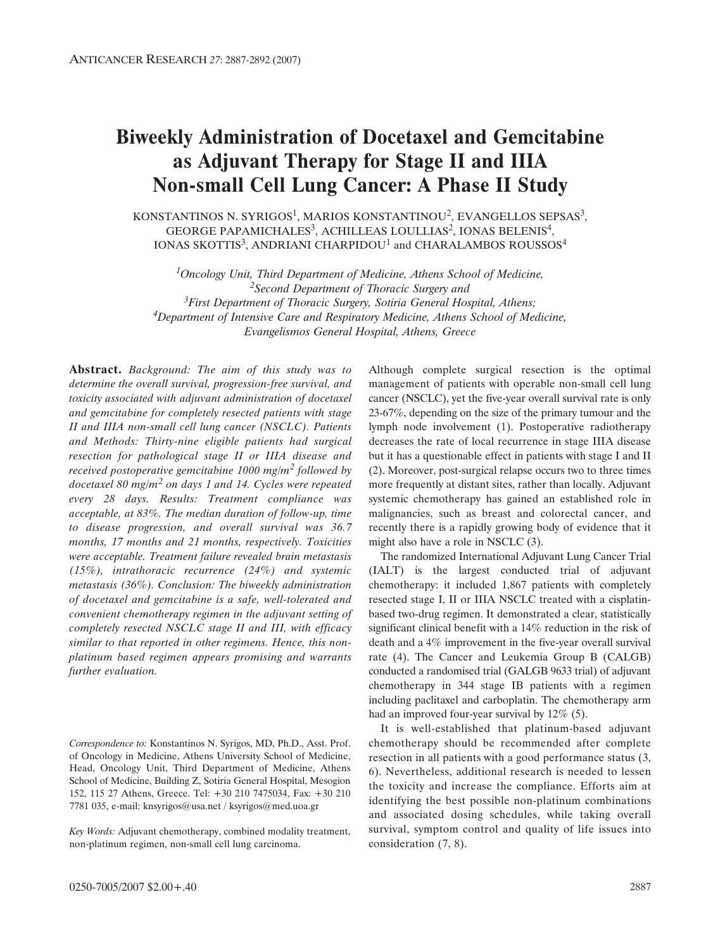# **Biweekly Administration of Docetaxel and Gemcitabine as Adjuvant Therapy for Stage II and IIIA Non-small Cell Lung Cancer: A Phase II Study**

KONSTANTINOS N. SYRIGOS<sup>1</sup>, MARIOS KONSTANTINOU<sup>2</sup>, EVANGELLOS SEPSAS<sup>3</sup>, GEORGE PAPAMICHALES<sup>3</sup>, ACHILLEAS LOULLIAS<sup>2</sup>, IONAS BELENIS<sup>4</sup>, IONAS SKOTTIS<sup>3</sup>, ANDRIANI CHARPIDOU<sup>1</sup> and CHARALAMBOS ROUSSOS<sup>4</sup>

*1Oncology Unit, Third Department of Medicine, Athens School of Medicine, 2Second Department of Thoracic Surgery and 3First Department of Thoracic Surgery, Sotiria General Hospital, Athens; 4Department of Intensive Care and Respiratory Medicine, Athens School of Medicine, Evangelismos General Hospital, Athens, Greece*

**Abstract.** *Background: The aim of this study was to determine the overall survival, progression-free survival, and toxicity associated with adjuvant administration of docetaxel and gemcitabine for completely resected patients with stage II and IIIA non-small cell lung cancer (NSCLC). Patients and Methods: Thirty-nine eligible patients had surgical resection for pathological stage II or IIIA disease and received postoperative gemcitabine 1000 mg/m<sup>2</sup> followed by docetaxel 80 mg/m<sup>2</sup> on days 1 and 14. Cycles were repeated every 28 days. Results: Treatment compliance was acceptable, at 83%. The median duration of follow-up, time to disease progression, and overall survival was 36.7 months, 17 months and 21 months, respectively. Toxicities were acceptable. Treatment failure revealed brain metastasis (15%), intrathoracic recurrence (24%) and systemic metastasis (36%). Conclusion: The biweekly administration of docetaxel and gemcitabine is a safe, well-tolerated and convenient chemotherapy regimen in the adjuvant setting of completely resected NSCLC stage II and III, with efficacy similar to that reported in other regimens. Hence, this nonplatinum based regimen appears promising and warrants further evaluation.*

*Correspondence to:* Konstantinos N. Syrigos, MD, Ph.D., Asst. Prof. of Oncology in Medicine, Athens University School of Medicine, Head, Oncology Unit, Third Department of Medicine, Athens School of Medicine, Building Z, Sotiria General Hospital, Mesogion 152, 115 27 Athens, Greece. Tel: +30 210 7475034, Fax: +30 210 7781 035, e-mail: knsyrigos@usa.net / ksyrigos@med.uoa.gr

*Key Words:* Adjuvant chemotherapy, combined modality treatment, non-platinum regimen, non-small cell lung carcinoma.

Although complete surgical resection is the optimal management of patients with operable non-small cell lung cancer (NSCLC), yet the five-year overall survival rate is only 23-67%, depending on the size of the primary tumour and the lymph node involvement (1). Postoperative radiotherapy decreases the rate of local recurrence in stage IIIA disease but it has a questionable effect in patients with stage I and II (2). Moreover, post-surgical relapse occurs two to three times more frequently at distant sites, rather than locally. Adjuvant systemic chemotherapy has gained an established role in malignancies, such as breast and colorectal cancer, and recently there is a rapidly growing body of evidence that it might also have a role in NSCLC (3).

The randomized International Adjuvant Lung Cancer Trial (IALT) is the largest conducted trial of adjuvant chemotherapy: it included 1,867 patients with completely resected stage I, II or IIIA NSCLC treated with a cisplatinbased two-drug regimen. It demonstrated a clear, statistically significant clinical benefit with a 14% reduction in the risk of death and a 4% improvement in the five-year overall survival rate (4). The Cancer and Leukemia Group B (CALGB) conducted a randomised trial (GALGB 9633 trial) of adjuvant chemotherapy in 344 stage IB patients with a regimen including paclitaxel and carboplatin. The chemotherapy arm had an improved four-year survival by 12% (5).

It is well-established that platinum-based adjuvant chemotherapy should be recommended after complete resection in all patients with a good performance status (3, 6). Nevertheless, additional research is needed to lessen the toxicity and increase the compliance. Efforts aim at identifying the best possible non-platinum combinations and associated dosing schedules, while taking overall survival, symptom control and quality of life issues into consideration (7, 8).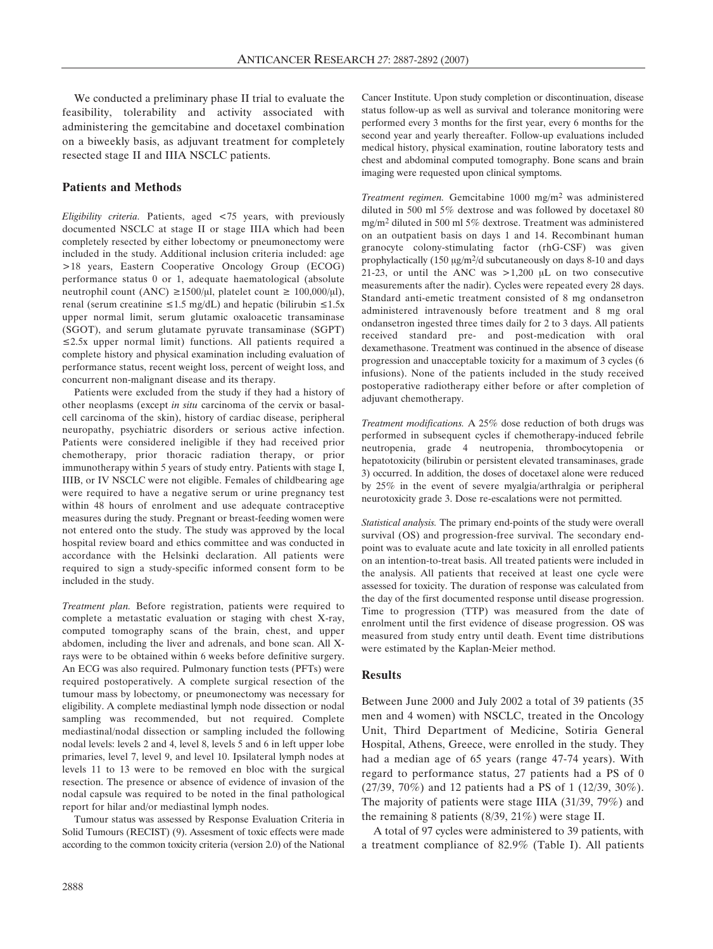We conducted a preliminary phase II trial to evaluate the feasibility, tolerability and activity associated with administering the gemcitabine and docetaxel combination on a biweekly basis, as adjuvant treatment for completely resected stage II and IIIA NSCLC patients.

## **Patients and Methods**

*Eligibility criteria.* Patients, aged <75 years, with previously documented NSCLC at stage II or stage IIIA which had been completely resected by either lobectomy or pneumonectomy were included in the study. Additional inclusion criteria included: age >18 years, Eastern Cooperative Oncology Group (ECOG) performance status 0 or 1, adequate haematological (absolute neutrophil count (ANC) ≥1500/ $\mu$ l, platelet count ≥ 100,000/ $\mu$ l), renal (serum creatinine  $\leq 1.5$  mg/dL) and hepatic (bilirubin  $\leq 1.5x$ upper normal limit, serum glutamic oxaloacetic transaminase (SGOT), and serum glutamate pyruvate transaminase (SGPT) ≤2.5x upper normal limit) functions. All patients required a complete history and physical examination including evaluation of performance status, recent weight loss, percent of weight loss, and concurrent non-malignant disease and its therapy.

Patients were excluded from the study if they had a history of other neoplasms (except *in situ* carcinoma of the cervix or basalcell carcinoma of the skin), history of cardiac disease, peripheral neuropathy, psychiatric disorders or serious active infection. Patients were considered ineligible if they had received prior chemotherapy, prior thoracic radiation therapy, or prior immunotherapy within 5 years of study entry. Patients with stage I, IIIB, or IV NSCLC were not eligible. Females of childbearing age were required to have a negative serum or urine pregnancy test within 48 hours of enrolment and use adequate contraceptive measures during the study. Pregnant or breast-feeding women were not entered onto the study. The study was approved by the local hospital review board and ethics committee and was conducted in accordance with the Helsinki declaration. All patients were required to sign a study-specific informed consent form to be included in the study.

*Treatment plan.* Before registration, patients were required to complete a metastatic evaluation or staging with chest X-ray, computed tomography scans of the brain, chest, and upper abdomen, including the liver and adrenals, and bone scan. All Xrays were to be obtained within 6 weeks before definitive surgery. An ECG was also required. Pulmonary function tests (PFTs) were required postoperatively. A complete surgical resection of the tumour mass by lobectomy, or pneumonectomy was necessary for eligibility. A complete mediastinal lymph node dissection or nodal sampling was recommended, but not required. Complete mediastinal/nodal dissection or sampling included the following nodal levels: levels 2 and 4, level 8, levels 5 and 6 in left upper lobe primaries, level 7, level 9, and level 10. Ipsilateral lymph nodes at levels 11 to 13 were to be removed en bloc with the surgical resection. The presence or absence of evidence of invasion of the nodal capsule was required to be noted in the final pathological report for hilar and/or mediastinal lymph nodes.

Tumour status was assessed by Response Evaluation Criteria in Solid Tumours (RECIST) (9). Assesment of toxic effects were made according to the common toxicity criteria (version 2.0) of the National Cancer Institute. Upon study completion or discontinuation, disease status follow-up as well as survival and tolerance monitoring were performed every 3 months for the first year, every 6 months for the second year and yearly thereafter. Follow-up evaluations included medical history, physical examination, routine laboratory tests and chest and abdominal computed tomography. Bone scans and brain imaging were requested upon clinical symptoms.

*Treatment regimen.* Gemcitabine 1000 mg/m2 was administered diluted in 500 ml 5% dextrose and was followed by docetaxel 80 mg/m2 diluted in 500 ml 5% dextrose. Treatment was administered on an outpatient basis on days 1 and 14. Recombinant human granocyte colony-stimulating factor (rhG-CSF) was given prophylactically  $(150 \mu g/m^2/d \text{ subcutaneously on days } 8-10 \text{ and days})$ 21-23, or until the ANC was  $>1,200$  µL on two consecutive measurements after the nadir). Cycles were repeated every 28 days. Standard anti-emetic treatment consisted of 8 mg ondansetron administered intravenously before treatment and 8 mg oral ondansetron ingested three times daily for 2 to 3 days. All patients received standard pre- and post-medication with oral dexamethasone. Treatment was continued in the absence of disease progression and unacceptable toxicity for a maximum of 3 cycles (6 infusions). None of the patients included in the study received postoperative radiotherapy either before or after completion of adjuvant chemotherapy.

*Treatment modifications.* A 25% dose reduction of both drugs was performed in subsequent cycles if chemotherapy-induced febrile neutropenia, grade 4 neutropenia, thrombocytopenia or hepatotoxicity (bilirubin or persistent elevated transaminases, grade 3) occurred. In addition, the doses of docetaxel alone were reduced by 25% in the event of severe myalgia/arthralgia or peripheral neurotoxicity grade 3. Dose re-escalations were not permitted.

*Statistical analysis.* The primary end-points of the study were overall survival (OS) and progression-free survival. The secondary endpoint was to evaluate acute and late toxicity in all enrolled patients on an intention-to-treat basis. All treated patients were included in the analysis. All patients that received at least one cycle were assessed for toxicity. The duration of response was calculated from the day of the first documented response until disease progression. Time to progression (TTP) was measured from the date of enrolment until the first evidence of disease progression. OS was measured from study entry until death. Event time distributions were estimated by the Kaplan-Meier method.

### **Results**

Between June 2000 and July 2002 a total of 39 patients (35 men and 4 women) with NSCLC, treated in the Oncology Unit, Third Department of Medicine, Sotiria General Hospital, Athens, Greece, were enrolled in the study. They had a median age of 65 years (range 47-74 years). With regard to performance status, 27 patients had a PS of 0 (27/39, 70%) and 12 patients had a PS of 1 (12/39, 30%). The majority of patients were stage IIIA (31/39, 79%) and the remaining 8 patients (8/39, 21%) were stage II.

A total of 97 cycles were administered to 39 patients, with a treatment compliance of 82.9% (Table I). All patients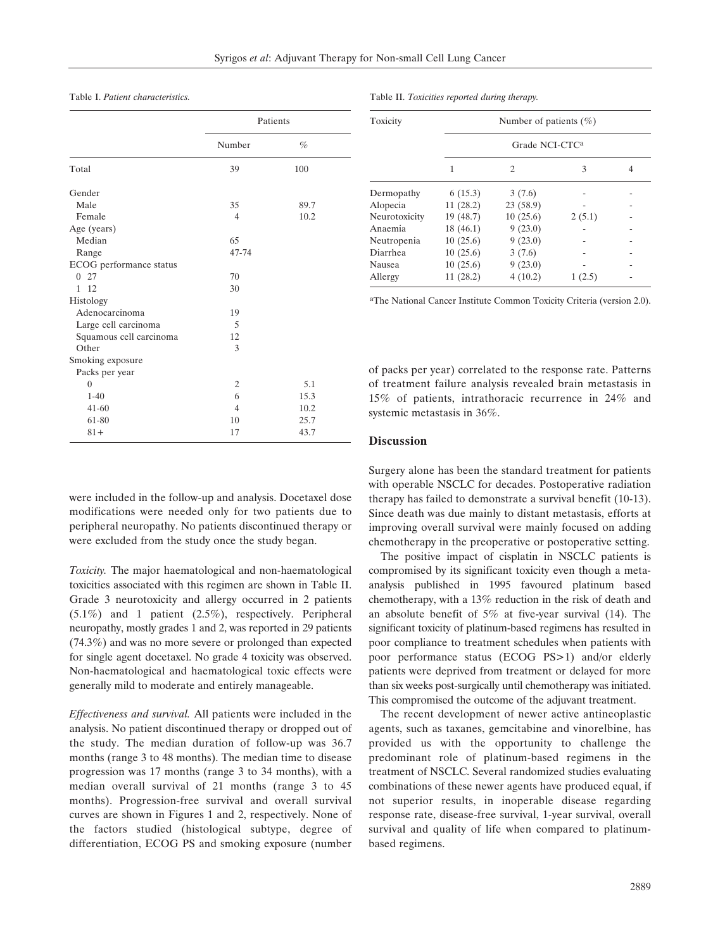Table I. *Patient characteristics.*

|                         |                | Patients |  |
|-------------------------|----------------|----------|--|
|                         | Number         | %        |  |
| Total                   | 39             | 100      |  |
| Gender                  |                |          |  |
| Male                    | 35             | 89.7     |  |
| Female                  | 4              | 10.2     |  |
| Age (years)             |                |          |  |
| Median                  | 65             |          |  |
| Range                   | 47-74          |          |  |
| ECOG performance status |                |          |  |
| 27<br>0                 | 70             |          |  |
| $1 \t12$                | 30             |          |  |
| Histology               |                |          |  |
| Adenocarcinoma          | 19             |          |  |
| Large cell carcinoma    | 5              |          |  |
| Squamous cell carcinoma | 12             |          |  |
| Other                   | 3              |          |  |
| Smoking exposure        |                |          |  |
| Packs per year          |                |          |  |
| $\theta$                | $\overline{2}$ | 5.1      |  |
| $1-40$                  | 6              | 15.3     |  |
| $41 - 60$               | $\overline{4}$ | 10.2     |  |
| 61-80                   | 10             | 25.7     |  |
| $81+$                   | 17             | 43.7     |  |

were included in the follow-up and analysis. Docetaxel dose modifications were needed only for two patients due to peripheral neuropathy. No patients discontinued therapy or were excluded from the study once the study began.

*Toxicity.* The major haematological and non-haematological toxicities associated with this regimen are shown in Table II. Grade 3 neurotoxicity and allergy occurred in 2 patients (5.1%) and 1 patient (2.5%), respectively. Peripheral neuropathy, mostly grades 1 and 2, was reported in 29 patients (74.3%) and was no more severe or prolonged than expected for single agent docetaxel. No grade 4 toxicity was observed. Non-haematological and haematological toxic effects were generally mild to moderate and entirely manageable.

*Effectiveness and survival.* All patients were included in the analysis. No patient discontinued therapy or dropped out of the study. The median duration of follow-up was 36.7 months (range 3 to 48 months). The median time to disease progression was 17 months (range 3 to 34 months), with a median overall survival of 21 months (range 3 to 45 months). Progression-free survival and overall survival curves are shown in Figures 1 and 2, respectively. None of the factors studied (histological subtype, degree of differentiation, ECOG PS and smoking exposure (number

| Table II. Toxicities reported during therapy. |  |  |
|-----------------------------------------------|--|--|
|-----------------------------------------------|--|--|

| Toxicity      | Number of patients $(\% )$<br>Grade NCI-CTC <sup>a</sup> |          |        |  |  |  |
|---------------|----------------------------------------------------------|----------|--------|--|--|--|
|               |                                                          |          |        |  |  |  |
|               | Dermopathy                                               | 6(15.3)  | 3(7.6) |  |  |  |
| Alopecia      | 11(28.2)                                                 | 23(58.9) |        |  |  |  |
| Neurotoxicity | 19 (48.7)                                                | 10(25.6) | 2(5.1) |  |  |  |
| Anaemia       | 18(46.1)                                                 | 9(23.0)  |        |  |  |  |
| Neutropenia   | 10(25.6)                                                 | 9(23.0)  |        |  |  |  |
| Diarrhea      | 10(25.6)                                                 | 3(7.6)   |        |  |  |  |
| Nausea        | 10(25.6)                                                 | 9(23.0)  |        |  |  |  |
| Allergy       | 11(28.2)                                                 | 4(10.2)  | 1(2.5) |  |  |  |

aThe National Cancer Institute Common Toxicity Criteria (version 2.0).

of packs per year) correlated to the response rate. Patterns of treatment failure analysis revealed brain metastasis in 15% of patients, intrathoracic recurrence in 24% and systemic metastasis in 36%.

#### **Discussion**

Surgery alone has been the standard treatment for patients with operable NSCLC for decades. Postoperative radiation therapy has failed to demonstrate a survival benefit (10-13). Since death was due mainly to distant metastasis, efforts at improving overall survival were mainly focused on adding chemotherapy in the preoperative or postoperative setting.

The positive impact of cisplatin in NSCLC patients is compromised by its significant toxicity even though a metaanalysis published in 1995 favoured platinum based chemotherapy, with a 13% reduction in the risk of death and an absolute benefit of 5% at five-year survival (14). The significant toxicity of platinum-based regimens has resulted in poor compliance to treatment schedules when patients with poor performance status (ECOG PS>1) and/or elderly patients were deprived from treatment or delayed for more than six weeks post-surgically until chemotherapy was initiated. This compromised the outcome of the adjuvant treatment.

The recent development of newer active antineoplastic agents, such as taxanes, gemcitabine and vinorelbine, has provided us with the opportunity to challenge the predominant role of platinum-based regimens in the treatment of NSCLC. Several randomized studies evaluating combinations of these newer agents have produced equal, if not superior results, in inoperable disease regarding response rate, disease-free survival, 1-year survival, overall survival and quality of life when compared to platinumbased regimens.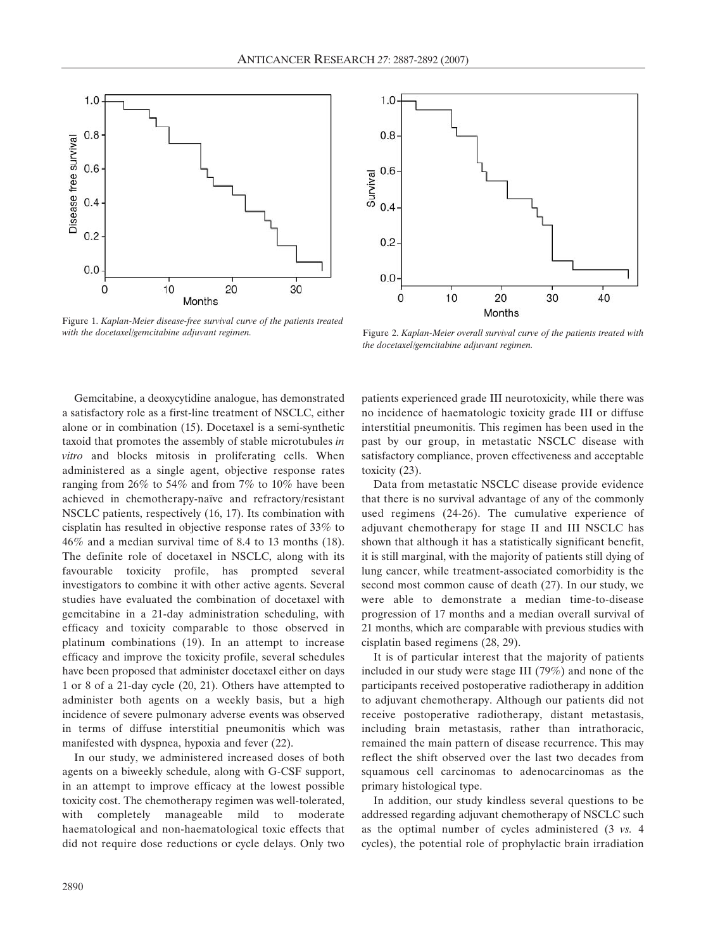

Figure 1. *Kaplan-Meier disease-free survival curve of the patients treated with the docetaxel/gemcitabine adjuvant regimen.* Figure 2. *Kaplan-Meier overall survival curve of the patients treated with* 

Gemcitabine, a deoxycytidine analogue, has demonstrated a satisfactory role as a first-line treatment of NSCLC, either alone or in combination (15). Docetaxel is a semi-synthetic taxoid that promotes the assembly of stable microtubules *in vitro* and blocks mitosis in proliferating cells. When administered as a single agent, objective response rates ranging from 26% to 54% and from 7% to 10% have been achieved in chemotherapy-naïve and refractory/resistant NSCLC patients, respectively (16, 17). Its combination with cisplatin has resulted in objective response rates of 33% to 46% and a median survival time of 8.4 to 13 months (18). The definite role of docetaxel in NSCLC, along with its favourable toxicity profile, has prompted several investigators to combine it with other active agents. Several studies have evaluated the combination of docetaxel with gemcitabine in a 21-day administration scheduling, with efficacy and toxicity comparable to those observed in platinum combinations (19). In an attempt to increase efficacy and improve the toxicity profile, several schedules have been proposed that administer docetaxel either on days 1 or 8 of a 21-day cycle (20, 21). Others have attempted to administer both agents on a weekly basis, but a high incidence of severe pulmonary adverse events was observed in terms of diffuse interstitial pneumonitis which was manifested with dyspnea, hypoxia and fever (22).

In our study, we administered increased doses of both agents on a biweekly schedule, along with G-CSF support, in an attempt to improve efficacy at the lowest possible toxicity cost. The chemotherapy regimen was well-tolerated, with completely manageable mild to moderate haematological and non-haematological toxic effects that did not require dose reductions or cycle delays. Only two



*the docetaxel/gemcitabine adjuvant regimen.*

patients experienced grade III neurotoxicity, while there was no incidence of haematologic toxicity grade III or diffuse interstitial pneumonitis. This regimen has been used in the past by our group, in metastatic NSCLC disease with satisfactory compliance, proven effectiveness and acceptable toxicity (23).

Data from metastatic NSCLC disease provide evidence that there is no survival advantage of any of the commonly used regimens (24-26). The cumulative experience of adjuvant chemotherapy for stage II and III NSCLC has shown that although it has a statistically significant benefit, it is still marginal, with the majority of patients still dying of lung cancer, while treatment-associated comorbidity is the second most common cause of death (27). In our study, we were able to demonstrate a median time-to-disease progression of 17 months and a median overall survival of 21 months, which are comparable with previous studies with cisplatin based regimens (28, 29).

It is of particular interest that the majority of patients included in our study were stage III (79%) and none of the participants received postoperative radiotherapy in addition to adjuvant chemotherapy. Although our patients did not receive postoperative radiotherapy, distant metastasis, including brain metastasis, rather than intrathoracic, remained the main pattern of disease recurrence. This may reflect the shift observed over the last two decades from squamous cell carcinomas to adenocarcinomas as the primary histological type.

In addition, our study kindless several questions to be addressed regarding adjuvant chemotherapy of NSCLC such as the optimal number of cycles administered (3 *vs.* 4 cycles), the potential role of prophylactic brain irradiation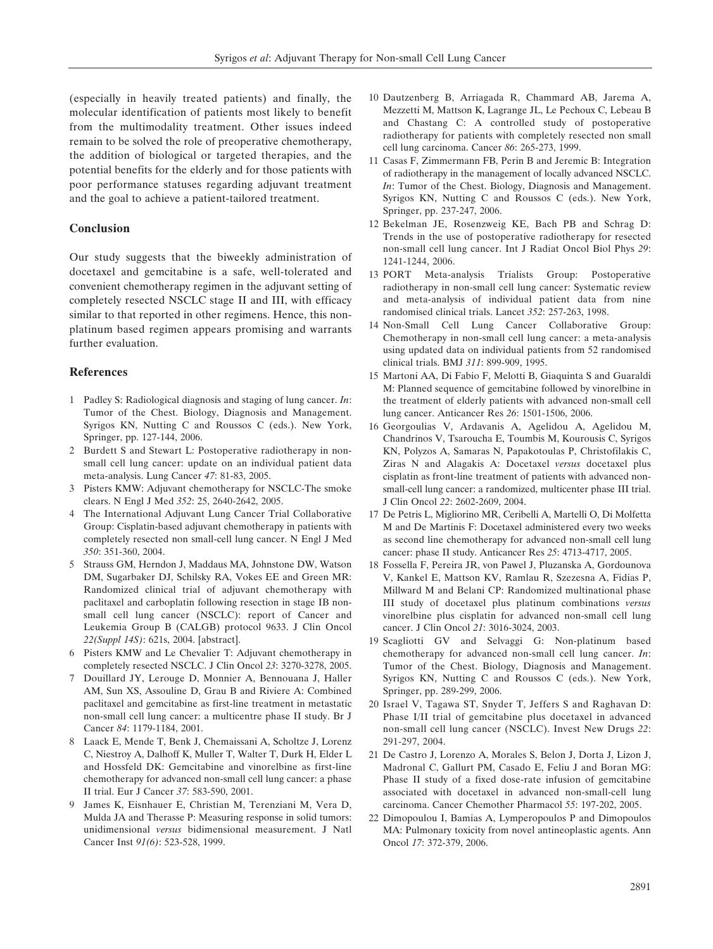(especially in heavily treated patients) and finally, the molecular identification of patients most likely to benefit from the multimodality treatment. Other issues indeed remain to be solved the role of preoperative chemotherapy, the addition of biological or targeted therapies, and the potential benefits for the elderly and for those patients with poor performance statuses regarding adjuvant treatment and the goal to achieve a patient-tailored treatment.

## **Conclusion**

Our study suggests that the biweekly administration of docetaxel and gemcitabine is a safe, well-tolerated and convenient chemotherapy regimen in the adjuvant setting of completely resected NSCLC stage II and III, with efficacy similar to that reported in other regimens. Hence, this nonplatinum based regimen appears promising and warrants further evaluation.

#### **References**

- 1 Padley S: Radiological diagnosis and staging of lung cancer. *In*: Tumor of the Chest. Biology, Diagnosis and Management. Syrigos KN, Nutting C and Roussos C (eds.). New York, Springer, pp. 127-144, 2006.
- 2 Burdett S and Stewart L: Postoperative radiotherapy in nonsmall cell lung cancer: update on an individual patient data meta-analysis. Lung Cancer *47*: 81-83, 2005.
- 3 Pisters KMW: Adjuvant chemotherapy for NSCLC-The smoke clears. N Engl J Med *352*: 25, 2640-2642, 2005.
- The International Adjuvant Lung Cancer Trial Collaborative Group: Cisplatin-based adjuvant chemotherapy in patients with completely resected non small-cell lung cancer. N Engl J Med *350*: 351-360, 2004.
- 5 Strauss GM, Herndon J, Maddaus MA, Johnstone DW, Watson DM, Sugarbaker DJ, Schilsky RA, Vokes EE and Green MR: Randomized clinical trial of adjuvant chemotherapy with paclitaxel and carboplatin following resection in stage IB nonsmall cell lung cancer (NSCLC): report of Cancer and Leukemia Group B (CALGB) protocol 9633. J Clin Oncol *22(Suppl 14S)*: 621s, 2004. [abstract].
- 6 Pisters KMW and Le Chevalier T: Adjuvant chemotherapy in completely resected NSCLC. J Clin Oncol *23*: 3270-3278, 2005.
- 7 Douillard JY, Lerouge D, Monnier A, Bennouana J, Haller AM, Sun XS, Assouline D, Grau B and Riviere A: Combined paclitaxel and gemcitabine as first-line treatment in metastatic non-small cell lung cancer: a multicentre phase II study. Br J Cancer *84*: 1179-1184, 2001.
- 8 Laack E, Mende T, Benk J, Chemaissani A, Scholtze J, Lorenz C, Niestroy A, Dalhoff K, Muller T, Walter T, Durk H, Elder L and Hossfeld DK: Gemcitabine and vinorelbine as first-line chemotherapy for advanced non-small cell lung cancer: a phase II trial. Eur J Cancer *37*: 583-590, 2001.
- 9 James K, Eisnhauer E, Christian M, Terenziani M, Vera D, Mulda JA and Therasse P: Measuring response in solid tumors: unidimensional *versus* bidimensional measurement. J Natl Cancer Inst *91(6)*: 523-528, 1999.
- 10 Dautzenberg B, Arriagada R, Chammard AB, Jarema A, Mezzetti M, Mattson K, Lagrange JL, Le Pechoux C, Lebeau B and Chastang C: A controlled study of postoperative radiotherapy for patients with completely resected non small cell lung carcinoma. Cancer *86*: 265-273, 1999.
- 11 Casas F, Zimmermann FB, Perin B and Jeremic B: Integration of radiotherapy in the management of locally advanced NSCLC. *In*: Tumor of the Chest. Biology, Diagnosis and Management. Syrigos KN, Nutting C and Roussos C (eds.). New York, Springer, pp. 237-247, 2006.
- 12 Bekelman JE, Rosenzweig KE, Bach PB and Schrag D: Trends in the use of postoperative radiotherapy for resected non-small cell lung cancer. Int J Radiat Oncol Biol Phys *29*: 1241-1244, 2006.
- 13 PORT Meta-analysis Trialists Group: Postoperative radiotherapy in non-small cell lung cancer: Systematic review and meta-analysis of individual patient data from nine randomised clinical trials. Lancet *352*: 257-263, 1998.
- 14 Non-Small Cell Lung Cancer Collaborative Group: Chemotherapy in non-small cell lung cancer: a meta-analysis using updated data on individual patients from 52 randomised clinical trials. BMJ *311*: 899-909, 1995.
- 15 Martoni AA, Di Fabio F, Melotti B, Giaquinta S and Guaraldi M: Planned sequence of gemcitabine followed by vinorelbine in the treatment of elderly patients with advanced non-small cell lung cancer. Anticancer Res *26*: 1501-1506, 2006.
- 16 Georgoulias V, Ardavanis A, Agelidou A, Agelidou M, Chandrinos V, Tsaroucha E, Toumbis M, Kourousis C, Syrigos KN, Polyzos A, Samaras N, Papakotoulas P, Christofilakis C, Ziras N and Alagakis A: Docetaxel *versus* docetaxel plus cisplatin as front-line treatment of patients with advanced nonsmall-cell lung cancer: a randomized, multicenter phase III trial. J Clin Oncol *22*: 2602-2609, 2004.
- 17 De Petris L, Migliorino MR, Ceribelli A, Martelli O, Di Molfetta M and De Martinis F: Docetaxel administered every two weeks as second line chemotherapy for advanced non-small cell lung cancer: phase II study. Anticancer Res *25*: 4713-4717, 2005.
- 18 Fossella F, Pereira JR, von Pawel J, Pluzanska A, Gordounova V, Kankel E, Mattson KV, Ramlau R, Szezesna A, Fidias P, Millward M and Belani CP: Randomized multinational phase III study of docetaxel plus platinum combinations *versus* vinorelbine plus cisplatin for advanced non-small cell lung cancer. J Clin Oncol *21*: 3016-3024, 2003.
- 19 Scagliotti GV and Selvaggi G: Non-platinum based chemotherapy for advanced non-small cell lung cancer. *In*: Tumor of the Chest. Biology, Diagnosis and Management. Syrigos KN, Nutting C and Roussos C (eds.). New York, Springer, pp. 289-299, 2006.
- 20 Israel V, Tagawa ST, Snyder T, Jeffers S and Raghavan D: Phase I/II trial of gemcitabine plus docetaxel in advanced non-small cell lung cancer (NSCLC). Invest New Drugs *22*: 291-297, 2004.
- 21 De Castro J, Lorenzo A, Morales S, Belon J, Dorta J, Lizon J, Madronal C, Gallurt PM, Casado E, Feliu J and Boran MG: Phase II study of a fixed dose-rate infusion of gemcitabine associated with docetaxel in advanced non-small-cell lung carcinoma. Cancer Chemother Pharmacol *55*: 197-202, 2005.
- 22 Dimopoulou I, Bamias A, Lymperopoulos P and Dimopoulos MA: Pulmonary toxicity from novel antineoplastic agents. Ann Oncol *17*: 372-379, 2006.